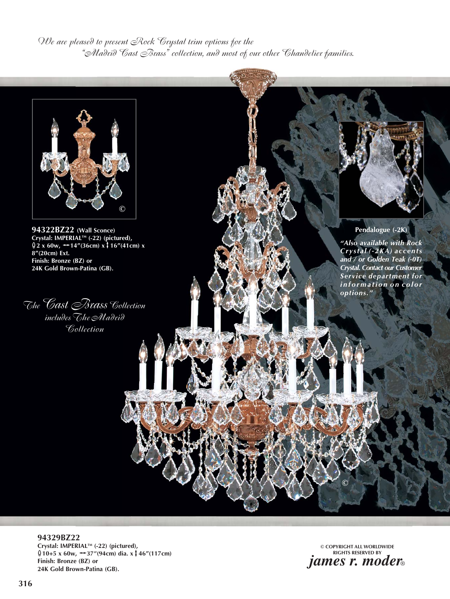*We are pleased to present Rock Crystal trim options for the "Madrid Cast Brass" collection, and most of our other Chandelier families.* 



**94322BZ22 (Wall Sconce) Crystal: IMPERIALTM (-22) (pictured),**   $\oint 2 x 60w$ ,  $\rightarrow 14''(36cm) x \uparrow 16''(41cm) x$ **8"(20cm) Ext. Finish: Bronze (BZ) or 24K Gold Brown-Patina (GB).**

*The Cast Brass Collection includes The Madrid Collection*

**Pendalogue (-2K)**

*"Also available with Rock Crystal (-2KA) accents and / or Golden Teak (-0T) Crystal. Contact our Customer Service department for i n f o r m a t i o n o n c o l o r options."* 

**94329BZ22 Crystal: IMPERIALTM (-22) (pictured),**  E**10+5 x 60w,** h**37"(94cm) dia. x**v**46"(117cm) Finish: Bronze (BZ) or 24K Gold Brown-Patina (GB).** ¦2<br>RIAL™ (-22) (pictured<br><sup>,</sup>, <del>++</del>37″(94cm) dia. x

**© COPYRIGHT ALL WORLDWIDE RIGHTS RESERVED BY** *james r. moder*®

**©**